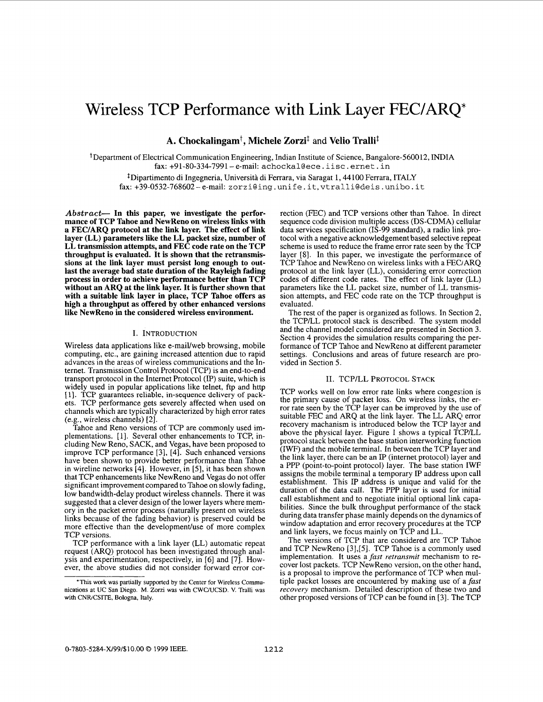# Wireless TCP Performance with Link Layer FEC/AKQ\*

**A. Chockalingamt** , **Michele Zorzij** and **Velio Trallij** 

+Department of Electrical Communication Engineering, Indian Institute of Science, Bangalore-560012, INDIA fax: +91-80-334-7991- e-mail: achockaleece. iisc. ernet. in

<sup>‡</sup>Dipartimento di Ingegneria, Università di Ferrara, via Saragat 1, 44100 Ferrara, ITALY fax: +39-0532-768602-e-mail: zorzi@ing.unife. it,vtralli@deis .unibo. it

*Abstract-* **In this paper, we investigate the performance of TCP Tahoe and NewReno on wireless links with a FEC/ARQ protocol at the link layer. The effect of link layer (LL) parameters like the LL packet size, number of LL transmission attempts, and FEC code rate on the TCP throughput is evaluated. It is shown that the retransmissions at the link layer must persist long enough to outlast the average bad state duration of the Rayleigh fading process in order to achieve performance better than TCP without an ARQ at the link layer. It is further shown that with a suitable link layer in place, TCP Tahoe offers as high a throughput as offered by other enhanced versions like NewReno in the considered wireless environment.** 

# **I.** INTRODUCTION

Wireless data applications like e-mail/web browsing, mobile computing, etc., are gaining increased attention due to rapid advances in the areas of wireless communications and the Internet. Transmission Control Protocol (TCP) is an end-to-end transport protocol in the Internet Protocol (IP) suite, which is widely used in popular applications like telnet, ftp and http [ 13. TCF guarantees reliable, in-sequence delivery of packets. TCP performance gets severely affected when used on channels which are typically characterized by high error rates (e.g., wireless channels) [2].

Tahoe and Reno versions of TCP are commonly used implementations. [ 11. Several other enhancements to TCP, including New Reno, SACK, and Vegas, have been proposed to improve TCP performance [3], [4]. Such enhanced versions have been shown to provide better performance than Tahoe in wireline networks [4]. However, in [5], it has been shown that TCP enhancements like NewReno and Vegas do not offer significant improvement compared to Tahoe on slowly fading, low bandwidth-delay product wireless channels. There it was suggested that a clever design of the lower layers where memory in the packet error process (naturally present on wireless links because of the fading behavior) is preserved could be more effective than the development/use of more complex TCP versions.

TCP performance with a link layer (LL) automatic repeat request *(ARQ)* protocol has been investigated through analysis and experimentation, respectively, in [6] and [7]. However, the above studies did not consider forward error correction (FEC) and TCP versions other than Tahoe. In direct sequence code division multiple access (DS-CDMA) cellular data services specification (IS-99 standard), a radio link. protocol with a negative acknowledgement based selective repeat scheme is used to reduce the frame error rate seen by the TCP layer [8]. In this paper, we investigate the performance of TCP Tahoe and NewReno on wireless links with a FEC/ARQ protocol at the link layer (LL), considering error correction codes of different code rates. The effect of link layer (LL) parameters like the LL packet size, number of IL transmission attempts, and FEC code rate on the TCP throughput is evaluated.

The rest of the paper is organized as follows. In Section 2, the TCPLL protocol stack is described. The system model and the channel model considered are presented in Section 3. Section 4 provides the simulation results comparing the performance of TCP Tahoe and NewReno at different parameter settings. Conclusions and areas of future research are provided in Section *5.* 

# 11. TCP/LL PROTOCOL **STACK**

TCP works well on low error rate links where congestion is the primary cause of packet loss. On wireless links, the error rate seen by the TCP layer can be improved by the use of suitable FEC and ARQ at the link layer. The LL ARQ error recovery machanism is introduced below the TCP layer and above the physical layer. [Figure 1](#page-1-0) shows a typical TCP/LL protocol stack between the base station interworking function (IWF) and the mobile terminal. In between the TCP layer and the link layer, there can be an IP (internet protocol) layer and a PPP (point-to-point protocol) layer. The base station IWF assigns the mobile terminal a temporary IP address upon call establishment. This IP address is unique and valid for the duration of the data call. The PPP layer is used for initial call establishment and to negotiate initial optional link capabilities. Since the bulk throughput performance of the stack during data transfer phase mainly depends on the dynarnics of window adaptation and error recovery procedures at the TCP and link layers, we focus mainly on TCP and LL.

The versions of TCP that are considered are TCP Tahoe and TCP NewReno [3],[5]. TCP Tahoe is a commonly used implementation. It uses a *fast retransmit* mechanism to recover lost packets. TCP NewReno version, on the other hand, is a proposal to improve the performance of TCP when multiple packet losses are encountered by making use of a *fast recovery* mechanism. Detailed description of these two and other proposed versions of TCP can be found in [3]. The TCP

<sup>&#</sup>x27;This work was partially supported by the Center for Wireless Communications at UC San Diego. M. Zorzi was with CWC/UCSD. V. Tralli was with CNR/CSITE, Bologna, Italy.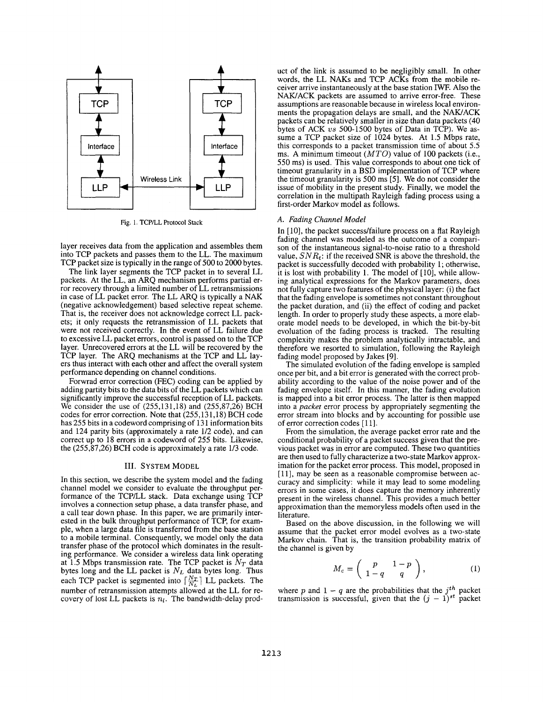<span id="page-1-0"></span>

Fig. 1. TCPLL Protocol **Stack** 

layer receives data from the application and assembles them into TCP packets and passes them to the LL. The maximum TCP packet size is typically in the range of 500 to 2000 bytes.

The link layer segments the TCP packet in to several LL packets. At the LL, an *ARQ* mechanism performs partial error recovery through a limited number of LL retransmissions in case of LL packet error. The LL *ARQ* is typically a NAK (negative acknowledgement) based selective repeat scheme. That is, the receiver does not acknowledge correct LL packets; it only requests the retransmission of LL packets that were not received correctly. In the event of LL failure due to excessive LL packet errors, control is passed on to the TCP layer. Unrecovered errors at the LL will be recovered by the TCP layer. The ARQ mechanisms at the TCP and LL layers thus interact with each other and affect the overall system performance depending on channel conditions.

Forwrad error correction (FEC) coding can be applied by adding partity bits to the data bits of the LL packets which can significantly improve the successful reception of LL packets. We consider the use of (255,131,18) and (255,87,26) BCH codes for error correction. Note that  $(255, 131, 18)$  BCH code has 255 bits in a codeword comprising of 131 information bits and 124 parity bits (approximately a rate 1/2 code), and can correct up to 18 errors in a codeword of 255 bits. Likewise, the (255,87,26) BCH code is approximately a rate 1/3 code.

### **111.** SYSTEM MODEL

**In** this section, we describe the system model and the fading channel model we consider to evaluate the throughput performance of the TCP/LL stack. Data exchange using TCP involves a connection setup phase, a data transfer phase, and a call tear down phase. **In** this paper, we are primarily interested in the bulk throughput performance of TCP, for example, when a large data file is transferred from the base station to a mobile terminal. Consequently, we model only the data transfer phase of the protocol which dominates in the resulting performance. We consider a wireless data link operating at 1.5 Mbps transmission rate. The TCP packet is  $N_T$  data bytes long and the LL packet is *NL* data bytes long. Thus each TCP packet is segmented into  $\left[\frac{N_T}{N}\right]$  LL packets. The number of retransmission attempts allowed at the LL for re-<br>covery of lost LL packets is  $n_l$ . The bandwidth-delay product of the link is assumed to be negligibly small. **In** other ceiver arrive instantaneously at the base station IWF. Also the NAWACK packets are assumed to arrive error-free. These assumptions are reasonable because in wireless local environments the propagation delays are small, and the NAWACK packets can be relatively smaller in size than data packets (40 bytes of ACK *us* 500-1500 bytes of Data in TCP). We assume a TCP packet size of 1024 bytes. At 1.5 Mbps rate, this corresponds to a packet transmission time of about *5.5* ms. A minimum timeout *(MTO)* value of 100 packets (i.e., 550 ms) is used. This value corresponds to about one tick of timeout granularity in a BSD implementation of TCP where the timeout granularity is *500* ms [5]. We do not consider the issue of mobility in the present study. Finally, we model the correlation in the multipath Rayleigh fading process using a first-order Markov model as follows.

## **A.** *Fading Channel Model*

In [10], the packet success/failure process on a flat Rayleigh fading channel was modeled as the outcome of a comparison of the instantaneous signal-to-noise ratio to a threshold value,  $SNR_t$ : if the received SNR is above the threshold, the packet is successfully decoded with probability 1; otherwise, it is lost with probability 1. The model of [10], while allowing analytical expressions for the Markov parameters, does not fully capture two features of the physical layer: (i) the fact that the fading envelope is sometimes not constant throughout the packet duration, and (ii) the effect of coding and packet length. In order to properly study these aspects, a more elaborate model needs to be developed, in which the bit-by-bit evoluation of the fading process is tracked. The resulting complexity makes the problem analytically intractable, and therefore we resorted to simulation, following the Rayleigh fading model proposed by Jakes [9].

The simulated evolution of the fading envelope is sampled once per bit, and a bit error is generated with the correct probability according to the value of the noise power and of the fading envelope itself. **In** this manner, the fading evolution is mapped into a bit error process. The latter is then mapped into a *packet* error process by appropriately segmenting the error stream into blocks and by accounting for possible use of error correction codes [11].

From the simulation, the average packet error rate and the conditional probability of a packet success given that the previous packet was in error are computed. These two quantities are then used to fully characterize a two-state Markov approximation for the packet error process. This model, proposed in [11], may be seen as a reasonable compromise between accuracy and simplicity: while it may lead to some modeling errors in some cases, it does capture the memory inherently present in the wireless channel. This provides a much better approximation than the memoryless models often used in the literature.

Based on the above discussion, in the following we will assume that the packet error model evolves as a two-state Markov chain. That is, the transition probability matrix of the channel is given by

$$
M_c = \left(\begin{array}{cc} p & 1-p \\ 1-q & q \end{array}\right), \tag{1}
$$

where *p* and  $1 - q$  are the probabilities that the  $j<sup>th</sup>$  packet where p and  $1 - q$  are the probabilities that the  $j^{th}$  packet transmission is successful, given that the  $(j - 1)^{st}$  packet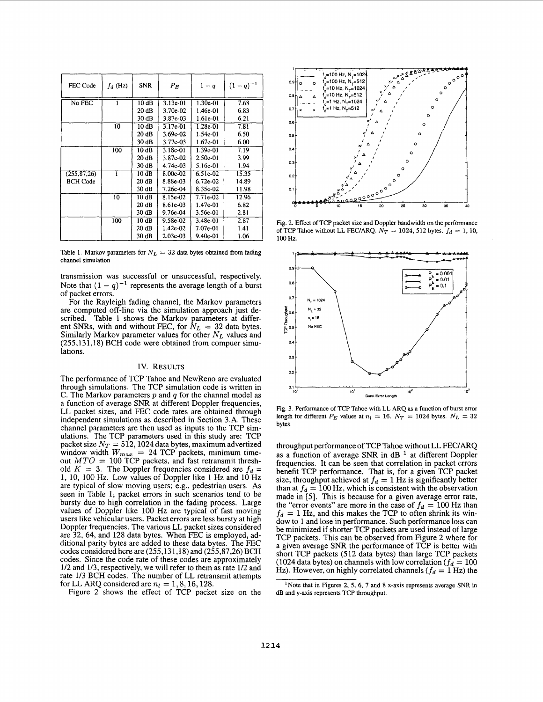<span id="page-2-0"></span>

| FEC Code        | $f_d$ (Hz) | <b>SNR</b>      | $P_E$      | $1-q$      | $(1 - q)^{-1}$ |
|-----------------|------------|-----------------|------------|------------|----------------|
| No FEC          |            | 10dB            | $3.13e-01$ | 1.30e-01   | 7.68           |
|                 |            | 20 dB           | 3.70e-02   | 1.46e-01   | 6.83           |
|                 |            | 30 dB           | $3.87e-03$ | 1.61e-01   | 6.21           |
|                 | 10         | $10 \text{ dB}$ | $3.17e-01$ | 1.28e-01   | 7.81           |
|                 |            | 20 dB           | 3.69e-02   | 1.54e-01   | 6.50           |
|                 |            | 30 dB           | 3.77e-03   | 1.67e-01   | 6.00           |
|                 | 100        | 10 dB           | $3.18e-01$ | 1.39e-01   | 7.19           |
|                 |            | 20dB            | 3.87e-02   | 2.50e-01   | 3.99           |
|                 |            | 30 dB           | 4.74e-03   | 5.16e-01   | 1.94           |
| (255.87.26)     |            | 10dB            | 8.00e-02   | $6.51e-02$ | 15.35          |
| <b>BCH Code</b> |            | 20dB            | 8.88e-03   | 6.72e-02   | 14.89          |
|                 |            | 30dB            | 7.26e-04   | 8.35e-02   | 11.98          |
|                 | 10         | 10dB            | 8.15e-02   | 7.71e-02   | 12.96          |
|                 |            | 20 dB           | 8.61e-03   | 1.47e-01   | 6.82           |
|                 |            | 30 dB           | 9.76e-04   | 3.56e-01   | 2.81           |
|                 | 100        | 10 dB           | 9.58e-02   | 3.48e-01   | 2.87           |
|                 |            | 20dB            | 1.42e-02   | 7.07e-01   | 1.41           |
|                 |            | 30 dB           | 2.03e-03   | 9.40e-01   | 1.06           |

Table 1. Markov parameters for  $N_L = 32$  data bytes obtained from fading **channel simulation** 

transmission was successful or unsuccessful, respectively. Note that  $(1 - q)^{-1}$  represents the average length of a burst of packet errors.<br>For the Rayleigh fading channel, the Markov parameters

are computed off-line via the simulation approach just described. Table 1 shows the Markov parameters at different *SNRs*, with and without FEC, for  $N_L = 32$  data bytes. Similarly Markov parameter values for other *N<sub>L</sub>* values and **(255,13 1,18)** BCH code were obtained from compuer simulations.

## IV. RESULTS

The performance of TCP Tahoe and NewReno are evaluated through simulations. The TCP simulation code is written in C. The Markov parameters *p* and *q* for the channel model as a function of average SNR at different Doppler frequencies, LL packet sizes, and FEC code rates are obtained through independent simulations as described in Section **3.A.** These channel parameters are then used as inputs to the TCP simulations. The TCP parameters used in this study are: TCP packet size  $N_T = 512,1024$  data bytes, maximum advertized window width  $W_{max} = 24$  TCP packets, minimum timeout  $MTO = 100$  TCP packets, and fast retransmit threshold  $K = 3$ . The Doppler frequencies considered are  $f_d =$ **1, 10, 100** Hz. Low values of Doppler like **1** Hz and **10** Hz are typical of slow moving users; e.g., pedestrian users. **As**  seen in Table 1, packet errors in such scenarios tend to be bursty due to high correlation in the fading process. Large values of Doppler like **100** Hz are typical of fast moving users like vehicular users. Packet errors are less bursty at high Doppler frequencies. The various LL packet sizes considered are 32, 64, and 128 data bytes. When FEC is employed, additional parity bytes are added to these data bytes. The FEC codes considered here are **(255,131,18)** and **(255,87,26)** BCH codes. Since the code rate of these codes are approximately 1/2 and **1/3,** respectively, we will refer to them as rate **1/2** and rate **1/3** BCH codes. The number of LL retransmit attempts for LL ARQ considered are  $n_l = 1, 8, 16, 128$ .

Figure **2** shows the effect of TCP packet size on the



**Fig. 2. Effect of TCP packet size and Doppler bandwidth on the performance**  of TCP Tahoe without LL FEC/ARQ.  $N_T = 1024$ , 512 bytes.  $f_d = 1$ , 10, **100 Hz.** 



**Fig. 3. Performance of TCP Tahoe with** LL **ARQ as a function** of **burst error length for different** *P<sub>E</sub>* values at  $n_l = 16$ .  $N_T = 1024$  bytes.  $N_L = 32$ **bytes.** 

throughput performance of TCP Tahoe without LI, FEC/ARQ as a function of average SNR in dB<sup>1</sup> at different Doppler frequencies. It can be seen that correlation in packet errors benefit TCP performance. That is, for a given TCP packet size, throughput achieved at  $f_d = 1$  Hz is significantly better than at  $f_d = 100$  Hz, which is consistent with the observation made in [5]. This is because for a given average error rate, the "error events" are more in the case of  $f_d = 100$  Hz than  $f_d = 1$  Hz, and this makes the TCP to often shrink its window to 1 and lose in performance. Such performance loss can be minimized if shorter TCP packets are used instead **of** large TCP packets. This can be observed from Figure **<sup>2</sup>**where for a given average SNR the performance of TCP is better with short TCP packets **(512** data bytes) than large TCP packets (1024 data bytes) on channels with low correlation  $(f_d = 100$ Hz). However, on highly correlated channels  $(f_d = 1 \text{ Hz})$  the

<sup>&</sup>lt;sup>1</sup> Note that in Figures 2, 5, 6, 7 and 8 x-axis represents average SNR in **dB and y-axis represents TCP throughput.**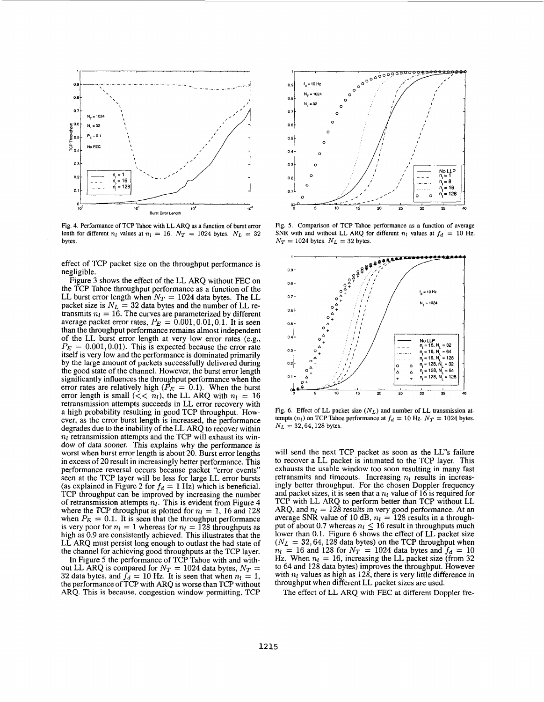

**Fig. 4. Performance of TCP Tahoe with LL ARQ as a function of burst error lenth for different** *n<sub>l</sub>* **values at** *n<sub>l</sub>* = 16.  $N_T$  = 1024 bytes.  $N_L$  = 32 **bytes.** 

effect of TCP packet size on the throughput performance is negligible.

Figure 3 shows the effect of the LL *ARQ* without FEC on the TCP Tahoe throughput performance as a function of the LL burst error length when  $N_T = 1024$  data bytes. The LL packet size is  $N_L = 32$  data bytes and the number of LL retransmits  $n_l = 16$ . The curves are parameterized by different average packet error rates,  $P_E = 0.001, 0.01, 0.1$ . It is seen than the throughput performance remains almost independent of the LL burst error length at very low error rates (e.g.,  $P_E = 0.001, 0.01$ . This is expected because the error rate itself is very low and the performance is dominated primarily by the large amount of packets successfully delivered during the good state of the channel. However, the burst error length significantly influences the throughput performance when the error rates are relatively high  $(P_E = 0.1)$ . When the burst error length is small ( $<< n_l$ ), the LL *ARQ* with  $n_l = 16$  retransmission attempts succeeds in LL error recovery with a high probability resulting in good TCP throughput. However, as the error burst length is increased, the performance degrades due to the inability of the LL *ARQ* to recover within  $n_l$  retransmission attempts and the TCP will exhaust its window of data sooner. This explains why the performance is worst when burst error length is about 20. Burst error lengths in excess of 20 result in increasingly better performance. This performance reversal occurs because packet "error events" seen at the TCP layer will be less for large LL error bursts (as explained in [Figure 2](#page-2-0) for  $f_d = 1$  Hz) which is beneficial. TCP throughput can be improved by increasing the number of retransmission attempts  $n_l$ . This is evident from Figure 4 where the TCP throughput is plotted for  $n_l = 1$ , 16 and 128 when  $P_E = 0.1$ . It is seen that the throughput performance is very poor for  $n_l = 1$  whereas for  $n_l = 128$  throughputs as high as 0.9 are consistently achieved. This illustrates that the LL *ARQ* must persist long enough to outlast the bad state of the channel for achieving good throughputs at the TCP layer.

In Figure 5 the performance of TCP Tahoe with and with-<br>out LL ARQ is compared for  $N_T = 1024$  data bytes,  $N_T =$ 32 data bytes, and  $f_d = 10$  Hz. It is seen that when  $n_l = 1$ , the performance of TCP with *ARQ* is worse than TCP without *ARQ.* This is because, congestion window permitting, TCP



**Fig. 5. Comparison of TCP Tahoe performance as a function of average SNR** with and without LL ARQ for different  $n_l$  values at  $f_d = 10$  Hz.  $N_T = 1024$  bytes.  $N_L = 32$  bytes.



**Fig. 6. Effect of LL packet size** *(NL)* **and number of LL transmission attempts**  $(n_l)$  on TCP Tahoe performance at  $f_d = 10$  Hz.  $N_T = 1024$  bytes.  $N_L = 32, 64, 128$  bytes.

will send the next TCP packet as soon as the LL's failure to recover a LL packet is intimated to the TCP layer. This exhausts the usable window too soon resulting in many fast retransmits and timeouts. Increasing  $n_l$  results in increasingly better throughput. For the chosen Doppler frequency and packet sizes, it is seen that a  $n_l$  value of 16 is required for TCP with LL *ARQ* to perform better than TCP without LL ARQ, and  $n_l = 128$  results in very good performance. At an average *SNR* value of 10 dB,  $n_l = 128$  results in a throughput of about 0.7 whereas  $n_l \leq 16$  result in throughputs much lower than 0.1. Figure 6 shows the effect of LL packet size  $(N_L = 32, 64, 128$  data bytes) on the TCP throughput when  $n_1 = 16$  and 128 for  $N_T = 1024$  data bytes and  $f_d = 10$ Hz. When  $n_l = 16$ , increasing the LL packet size (from 32) to 64 and 128 data bytes) improves the throughput. However with  $n_l$  values as high as 128, there is very little difference in throughput when different LL packet sizes are used.

The effect of LL *ARQ* with **FEC** at different Doppler fre-